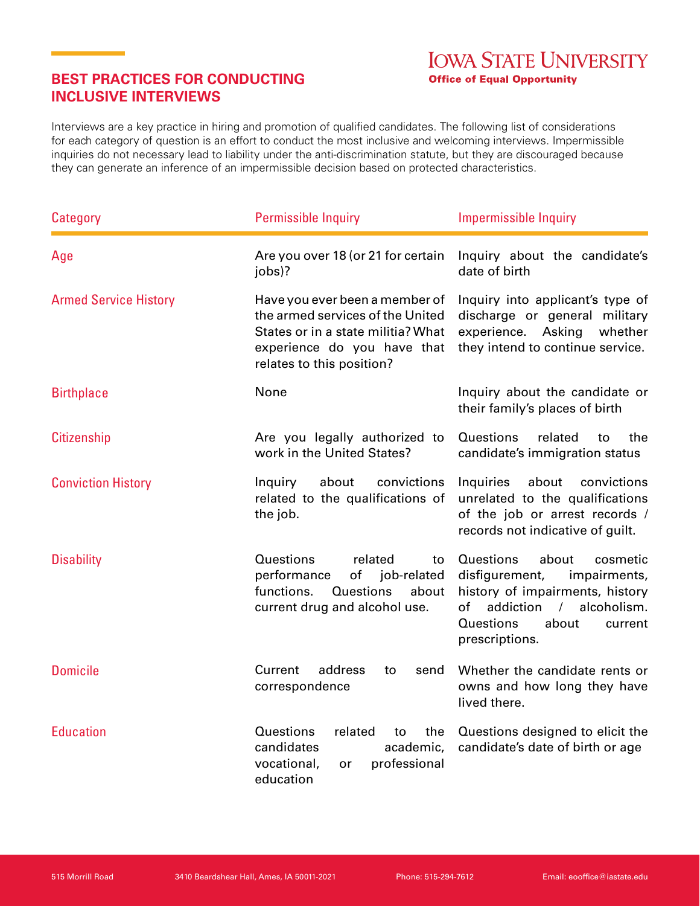## **BEST PRACTICES FOR CONDUCTING INCLUSIVE INTERVIEWS**

Interviews are a key practice in hiring and promotion of qualified candidates. The following list of considerations for each category of question is an effort to conduct the most inclusive and welcoming interviews. Impermissible inquiries do not necessary lead to liability under the anti-discrimination statute, but they are discouraged because they can generate an inference of an impermissible decision based on protected characteristics.

| Category                     | <b>Permissible Inquiry</b>                                                                                                                                           | <b>Impermissible Inquiry</b>                                                                                                                                                                           |
|------------------------------|----------------------------------------------------------------------------------------------------------------------------------------------------------------------|--------------------------------------------------------------------------------------------------------------------------------------------------------------------------------------------------------|
| Age                          | Are you over 18 (or 21 for certain<br>jobs)?                                                                                                                         | Inquiry about the candidate's<br>date of birth                                                                                                                                                         |
| <b>Armed Service History</b> | Have you ever been a member of<br>the armed services of the United<br>States or in a state militia? What<br>experience do you have that<br>relates to this position? | Inquiry into applicant's type of<br>discharge or general military<br>experience. Asking<br>whether<br>they intend to continue service.                                                                 |
| <b>Birthplace</b>            | None                                                                                                                                                                 | Inquiry about the candidate or<br>their family's places of birth                                                                                                                                       |
| <b>Citizenship</b>           | Are you legally authorized to<br>work in the United States?                                                                                                          | Questions<br>related<br>the<br>to<br>candidate's immigration status                                                                                                                                    |
| <b>Conviction History</b>    | Inquiry<br>about<br>convictions<br>related to the qualifications of<br>the job.                                                                                      | Inquiries<br>about<br>convictions<br>unrelated to the qualifications<br>of the job or arrest records /<br>records not indicative of guilt.                                                             |
| <b>Disability</b>            | Questions<br>related<br>to<br>performance<br>of<br>job-related<br>functions.<br>Questions<br>about<br>current drug and alcohol use.                                  | Questions<br>about<br>cosmetic<br>disfigurement,<br>impairments,<br>history of impairments, history<br>addiction<br>alcoholism.<br>of<br>$\sqrt{2}$<br>Questions<br>about<br>current<br>prescriptions. |
| <b>Domicile</b>              | Current<br>address<br>to<br>send<br>correspondence                                                                                                                   | Whether the candidate rents or<br>owns and how long they have<br>lived there.                                                                                                                          |
| <b>Education</b>             | Questions<br>related<br>the<br>to<br>candidates<br>academic,<br>vocational,<br>professional<br><b>or</b><br>education                                                | Questions designed to elicit the<br>candidate's date of birth or age                                                                                                                                   |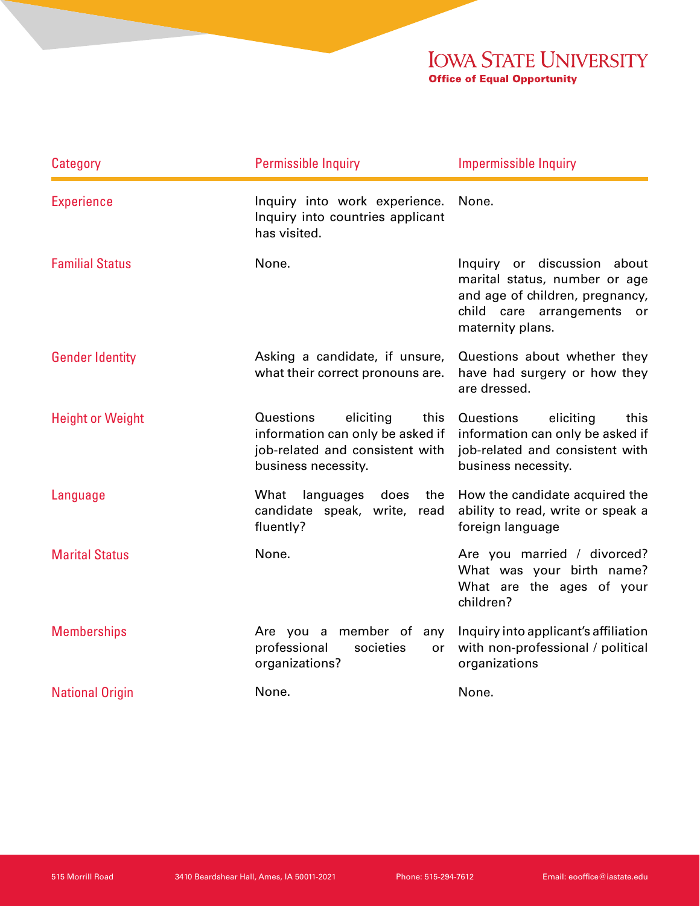## **IOWA STATE UNIVERSITY Office of Equal Opportunity**

| Category                | <b>Permissible Inquiry</b>                                                                                                   | <b>Impermissible Inquiry</b>                                                                                                                      |
|-------------------------|------------------------------------------------------------------------------------------------------------------------------|---------------------------------------------------------------------------------------------------------------------------------------------------|
| <b>Experience</b>       | Inquiry into work experience.<br>Inquiry into countries applicant<br>has visited.                                            | None.                                                                                                                                             |
| <b>Familial Status</b>  | None.                                                                                                                        | Inquiry or discussion about<br>marital status, number or age<br>and age of children, pregnancy,<br>child care arrangements or<br>maternity plans. |
| <b>Gender Identity</b>  | Asking a candidate, if unsure,<br>what their correct pronouns are.                                                           | Questions about whether they<br>have had surgery or how they<br>are dressed.                                                                      |
| <b>Height or Weight</b> | Questions<br>eliciting<br>this<br>information can only be asked if<br>job-related and consistent with<br>business necessity. | Questions<br>eliciting<br>this<br>information can only be asked if<br>job-related and consistent with<br>business necessity.                      |
| Language                | What<br>languages<br>does<br>the<br>candidate speak, write, read<br>fluently?                                                | How the candidate acquired the<br>ability to read, write or speak a<br>foreign language                                                           |
| <b>Marital Status</b>   | None.                                                                                                                        | Are you married / divorced?<br>What was your birth name?<br>What are the ages of your<br>children?                                                |
| <b>Memberships</b>      | Are you a member of<br>any<br>professional<br>societies<br>or<br>organizations?                                              | Inquiry into applicant's affiliation<br>with non-professional / political<br>organizations                                                        |
| <b>National Origin</b>  | None.                                                                                                                        | None.                                                                                                                                             |